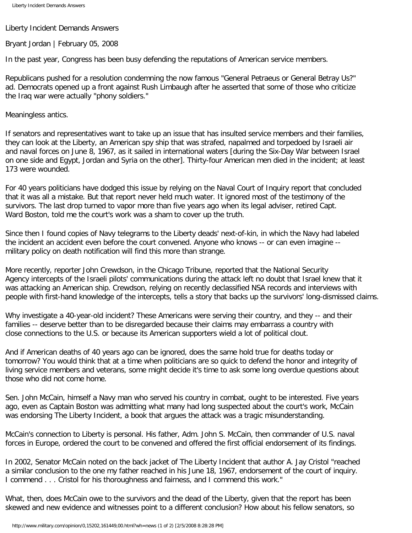Liberty Incident Demands Answers

Bryant Jordan | February 05, 2008

In the past year, Congress has been busy defending the reputations of American service members.

Republicans pushed for a resolution condemning the now famous "General Petraeus or General Betray Us?" ad. Democrats opened up a front against Rush Limbaugh after he asserted that some of those who criticize the Iraq war were actually "phony soldiers."

Meaningless antics.

If senators and representatives want to take up an issue that has insulted service members and their families, they can look at the Liberty, an American spy ship that was strafed, napalmed and torpedoed by Israeli air and naval forces on June 8, 1967, as it sailed in international waters [during the Six-Day War between Israel on one side and Egypt, Jordan and Syria on the other]. Thirty-four American men died in the incident; at least 173 were wounded.

For 40 years politicians have dodged this issue by relying on the Naval Court of Inquiry report that concluded that it was all a mistake. But that report never held much water. It ignored most of the testimony of the survivors. The last drop turned to vapor more than five years ago when its legal adviser, retired Capt. Ward Boston, told me the court's work was a sham to cover up the truth.

Since then I found copies of Navy telegrams to the Liberty deads' next-of-kin, in which the Navy had labeled the incident an accident even before the court convened. Anyone who knows -- or can even imagine - military policy on death notification will find this more than strange.

More recently, reporter John Crewdson, in the Chicago Tribune, reported that the National Security Agency intercepts of the Israeli pilots' communications during the attack left no doubt that Israel knew that it was attacking an American ship. Crewdson, relying on recently declassified NSA records and interviews with people with first-hand knowledge of the intercepts, tells a story that backs up the survivors' long-dismissed claims.

Why investigate a 40-year-old incident? These Americans were serving their country, and they -- and their families -- deserve better than to be disregarded because their claims may embarrass a country with close connections to the U.S. or because its American supporters wield a lot of political clout.

And if American deaths of 40 years ago can be ignored, does the same hold true for deaths today or tomorrow? You would think that at a time when politicians are so quick to defend the honor and integrity of living service members and veterans, some might decide it's time to ask some long overdue questions about those who did not come home.

Sen. John McCain, himself a Navy man who served his country in combat, ought to be interested. Five years ago, even as Captain Boston was admitting what many had long suspected about the court's work, McCain was endorsing The Liberty Incident, a book that argues the attack was a tragic misunderstanding.

McCain's connection to Liberty is personal. His father, Adm. John S. McCain, then commander of U.S. naval forces in Europe, ordered the court to be convened and offered the first official endorsement of its findings.

In 2002, Senator McCain noted on the back jacket of The Liberty Incident that author A. Jay Cristol "reached a similar conclusion to the one my father reached in his June 18, 1967, endorsement of the court of inquiry. I commend . . . Cristol for his thoroughness and fairness, and I commend this work."

What, then, does McCain owe to the survivors and the dead of the Liberty, given that the report has been skewed and new evidence and witnesses point to a different conclusion? How about his fellow senators, so